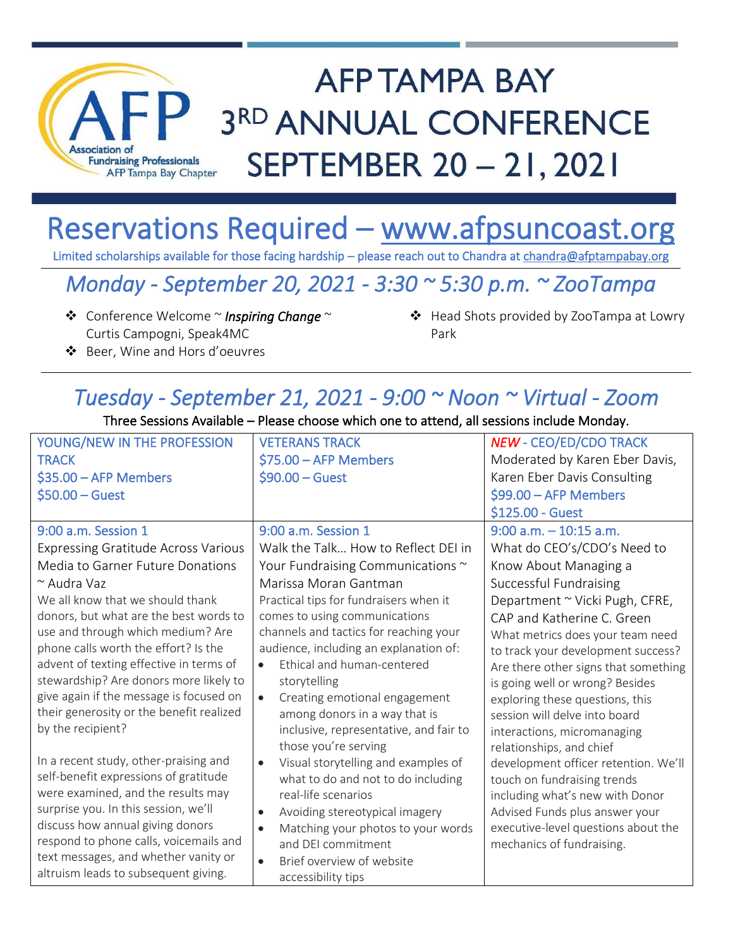

# **AFP TAMPA BAY** 3RD ANNUAL CONFERENCE SEPTEMBER 20 - 21, 2021

## Reservations Required – [www.afpsuncoast.org](http://www.afpsuncoast.org/)

Limited scholarships available for those facing hardship - please reach out to Chandra at chandra@afptampabay.org

### *Monday - September 20, 2021 - 3:30 ~ 5:30 p.m. ~ ZooTampa*

- ❖ Conference Welcome ~ *Inspiring Change* ~ Curtis Campogni, Speak4MC
- ❖ Head Shots provided by ZooTampa at Lowry Park

❖ Beer, Wine and Hors d'oeuvres

### *Tuesday - September 21, 2021 - 9:00 ~ Noon ~ Virtual - Zoom*

#### Three Sessions Available – Please choose which one to attend, all sessions include Monday.

| YOUNG/NEW IN THE PROFESSION                | <b>VETERANS TRACK</b>                            | <b>NEW - CEO/ED/CDO TRACK</b>        |
|--------------------------------------------|--------------------------------------------------|--------------------------------------|
| <b>TRACK</b>                               | $$75.00 - AFP$ Members                           | Moderated by Karen Eber Davis,       |
| $$35.00 - AFP$ Members                     | $$90.00 - Gust$                                  | Karen Eber Davis Consulting          |
| $$50.00 - Gust$                            |                                                  | $$99.00 - AFP$ Members               |
|                                            |                                                  | \$125.00 - Guest                     |
| 9:00 a.m. Session 1                        | 9:00 a.m. Session 1                              | $9:00$ a.m. $-10:15$ a.m.            |
| <b>Expressing Gratitude Across Various</b> | Walk the Talk How to Reflect DEI in              | What do CEO's/CDO's Need to          |
| Media to Garner Future Donations           | Your Fundraising Communications ~                | Know About Managing a                |
| ~ Audra Vaz                                | Marissa Moran Gantman                            | Successful Fundraising               |
| We all know that we should thank           | Practical tips for fundraisers when it           | Department ~ Vicki Pugh, CFRE,       |
| donors, but what are the best words to     | comes to using communications                    | CAP and Katherine C. Green           |
| use and through which medium? Are          | channels and tactics for reaching your           | What metrics does your team need     |
| phone calls worth the effort? Is the       | audience, including an explanation of:           | to track your development success?   |
| advent of texting effective in terms of    | Ethical and human-centered<br>$\bullet$          | Are there other signs that something |
| stewardship? Are donors more likely to     | storytelling                                     | is going well or wrong? Besides      |
| give again if the message is focused on    | Creating emotional engagement<br>$\bullet$       | exploring these questions, this      |
| their generosity or the benefit realized   | among donors in a way that is                    | session will delve into board        |
| by the recipient?                          | inclusive, representative, and fair to           | interactions, micromanaging          |
|                                            | those you're serving                             | relationships, and chief             |
| In a recent study, other-praising and      | Visual storytelling and examples of<br>$\bullet$ | development officer retention. We'll |
| self-benefit expressions of gratitude      | what to do and not to do including               | touch on fundraising trends          |
| were examined, and the results may         | real-life scenarios                              | including what's new with Donor      |
| surprise you. In this session, we'll       | Avoiding stereotypical imagery<br>$\bullet$      | Advised Funds plus answer your       |
| discuss how annual giving donors           | Matching your photos to your words<br>$\bullet$  | executive-level questions about the  |
| respond to phone calls, voicemails and     | and DEI commitment                               | mechanics of fundraising.            |
| text messages, and whether vanity or       | Brief overview of website<br>$\bullet$           |                                      |
| altruism leads to subsequent giving.       | accessibility tips                               |                                      |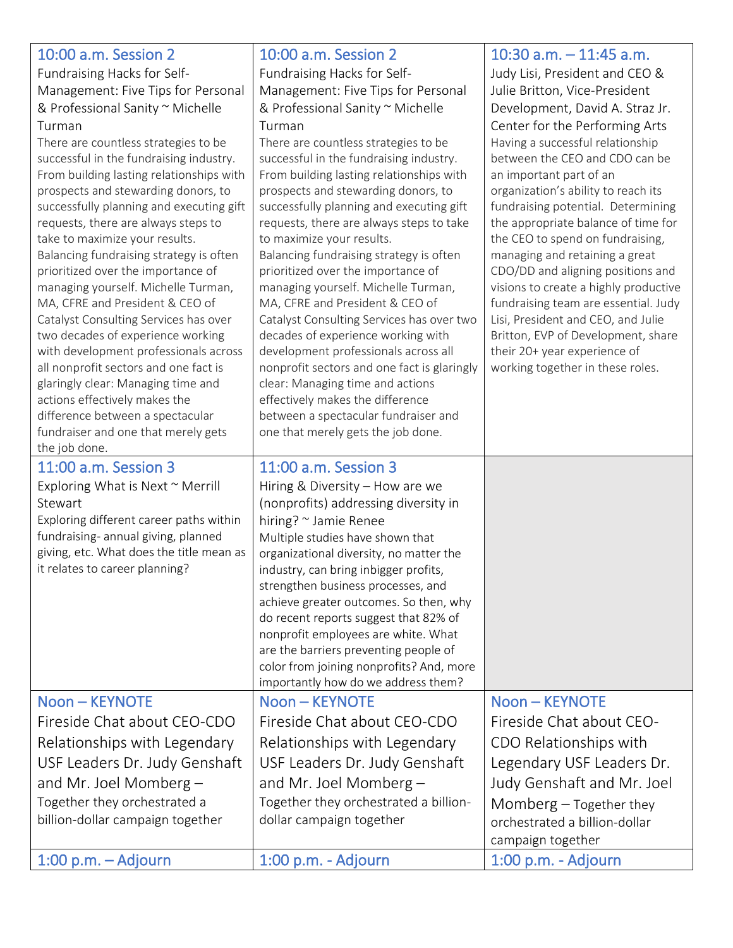|                                                                                 |                                                                                  | 10:30 a.m. $-$ 11:45 a.m.                                                  |
|---------------------------------------------------------------------------------|----------------------------------------------------------------------------------|----------------------------------------------------------------------------|
| 10:00 a.m. Session 2                                                            | 10:00 a.m. Session 2                                                             |                                                                            |
| Fundraising Hacks for Self-                                                     | Fundraising Hacks for Self-                                                      | Judy Lisi, President and CEO &                                             |
| Management: Five Tips for Personal                                              | Management: Five Tips for Personal                                               | Julie Britton, Vice-President                                              |
| & Professional Sanity ~ Michelle                                                | & Professional Sanity ~ Michelle                                                 | Development, David A. Straz Jr.                                            |
| Turman                                                                          | Turman                                                                           | Center for the Performing Arts                                             |
| There are countless strategies to be<br>successful in the fundraising industry. | There are countless strategies to be<br>successful in the fundraising industry.  | Having a successful relationship<br>between the CEO and CDO can be         |
| From building lasting relationships with                                        | From building lasting relationships with                                         | an important part of an                                                    |
| prospects and stewarding donors, to                                             | prospects and stewarding donors, to                                              | organization's ability to reach its                                        |
| successfully planning and executing gift                                        | successfully planning and executing gift                                         | fundraising potential. Determining                                         |
| requests, there are always steps to                                             | requests, there are always steps to take                                         | the appropriate balance of time for                                        |
| take to maximize your results.                                                  | to maximize your results.                                                        | the CEO to spend on fundraising,                                           |
| Balancing fundraising strategy is often                                         | Balancing fundraising strategy is often                                          | managing and retaining a great                                             |
| prioritized over the importance of                                              | prioritized over the importance of                                               | CDO/DD and aligning positions and                                          |
| managing yourself. Michelle Turman,                                             | managing yourself. Michelle Turman,<br>MA, CFRE and President & CEO of           | visions to create a highly productive                                      |
| MA, CFRE and President & CEO of<br>Catalyst Consulting Services has over        | Catalyst Consulting Services has over two                                        | fundraising team are essential. Judy<br>Lisi, President and CEO, and Julie |
| two decades of experience working                                               | decades of experience working with                                               | Britton, EVP of Development, share                                         |
| with development professionals across                                           | development professionals across all                                             | their 20+ year experience of                                               |
| all nonprofit sectors and one fact is                                           | nonprofit sectors and one fact is glaringly                                      | working together in these roles.                                           |
| glaringly clear: Managing time and                                              | clear: Managing time and actions                                                 |                                                                            |
| actions effectively makes the                                                   | effectively makes the difference                                                 |                                                                            |
| difference between a spectacular                                                | between a spectacular fundraiser and                                             |                                                                            |
| fundraiser and one that merely gets<br>the job done.                            | one that merely gets the job done.                                               |                                                                            |
| 11:00 a.m. Session 3                                                            | 11:00 a.m. Session 3                                                             |                                                                            |
|                                                                                 |                                                                                  |                                                                            |
|                                                                                 |                                                                                  |                                                                            |
| Exploring What is Next $\sim$ Merrill                                           | Hiring & Diversity - How are we                                                  |                                                                            |
| Stewart                                                                         | (nonprofits) addressing diversity in                                             |                                                                            |
| Exploring different career paths within                                         | hiring? ~ Jamie Renee                                                            |                                                                            |
| fundraising- annual giving, planned                                             | Multiple studies have shown that                                                 |                                                                            |
| giving, etc. What does the title mean as<br>it relates to career planning?      | organizational diversity, no matter the<br>industry, can bring inbigger profits, |                                                                            |
|                                                                                 | strengthen business processes, and                                               |                                                                            |
|                                                                                 | achieve greater outcomes. So then, why                                           |                                                                            |
|                                                                                 | do recent reports suggest that 82% of                                            |                                                                            |
|                                                                                 | nonprofit employees are white. What                                              |                                                                            |
|                                                                                 | are the barriers preventing people of                                            |                                                                            |
|                                                                                 | color from joining nonprofits? And, more                                         |                                                                            |
| Noon - KEYNOTE                                                                  | importantly how do we address them?<br>Noon - KEYNOTE                            | Noon - KEYNOTE                                                             |
|                                                                                 |                                                                                  |                                                                            |
| Fireside Chat about CEO-CDO                                                     | Fireside Chat about CEO-CDO                                                      | Fireside Chat about CEO-                                                   |
| Relationships with Legendary                                                    | Relationships with Legendary                                                     | CDO Relationships with                                                     |
| USF Leaders Dr. Judy Genshaft                                                   | USF Leaders Dr. Judy Genshaft                                                    | Legendary USF Leaders Dr.                                                  |
| and Mr. Joel Momberg $-$                                                        | and Mr. Joel Momberg $-$                                                         | Judy Genshaft and Mr. Joel                                                 |
| Together they orchestrated a                                                    | Together they orchestrated a billion-                                            | Momberg $-$ Together they                                                  |
| billion-dollar campaign together                                                | dollar campaign together                                                         | orchestrated a billion-dollar                                              |
| $1:00$ p.m. $-$ Adjourn                                                         | 1:00 p.m. - Adjourn                                                              | campaign together<br>1:00 p.m. - Adjourn                                   |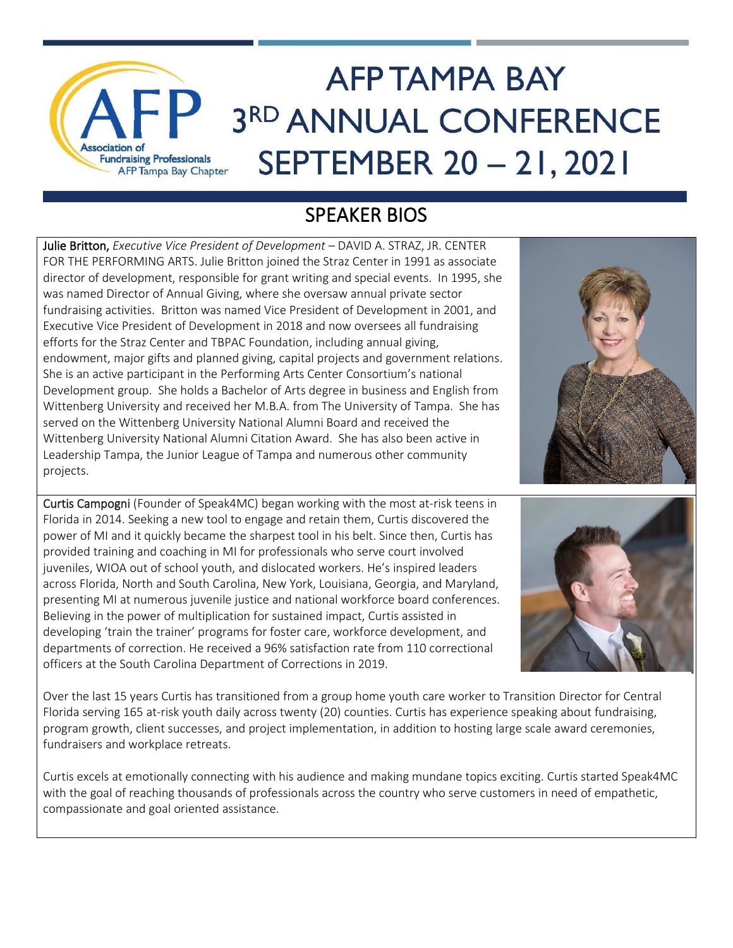

#### SPEAKER BIOS

Julie Britton, *Executive Vice President of Development –* DAVID A. STRAZ, JR. CENTER FOR THE PERFORMING ARTS. Julie Britton joined the Straz Center in 1991 as associate director of development, responsible for grant writing and special events. In 1995, she was named Director of Annual Giving, where she oversaw annual private sector fundraising activities. Britton was named Vice President of Development in 2001, and Executive Vice President of Development in 2018 and now oversees all fundraising efforts for the Straz Center and TBPAC Foundation, including annual giving, endowment, major gifts and planned giving, capital projects and government relations. She is an active participant in the Performing Arts Center Consortium's national Development group. She holds a Bachelor of Arts degree in business and English from Wittenberg University and received her M.B.A. from The University of Tampa. She has served on the Wittenberg University National Alumni Board and received the Wittenberg University National Alumni Citation Award. She has also been active in Leadership Tampa, the Junior League of Tampa and numerous other community projects.

Curtis Campogni (Founder of Speak4MC) began working with the most at-risk teens in Florida in 2014. Seeking a new tool to engage and retain them, Curtis discovered the power of MI and it quickly became the sharpest tool in his belt. Since then, Curtis has provided training and coaching in MI for professionals who serve court involved juveniles, WIOA out of school youth, and dislocated workers. He's inspired leaders across Florida, North and South Carolina, New York, Louisiana, Georgia, and Maryland, presenting MI at numerous juvenile justice and national workforce board conferences. Believing in the power of multiplication for sustained impact, Curtis assisted in developing 'train the trainer' programs for foster care, workforce development, and departments of correction. He received a 96% satisfaction rate from 110 correctional officers at the South Carolina Department of Corrections in 2019.



Over the last 15 years Curtis has transitioned from a group home youth care worker to Transition Director for Central Florida serving 165 at-risk youth daily across twenty (20) counties. Curtis has experience speaking about fundraising, program growth, client successes, and project implementation, in addition to hosting large scale award ceremonies, fundraisers and workplace retreats.

Curtis excels at emotionally connecting with his audience and making mundane topics exciting. Curtis started Speak4MC with the goal of reaching thousands of professionals across the country who serve customers in need of empathetic, compassionate and goal oriented assistance.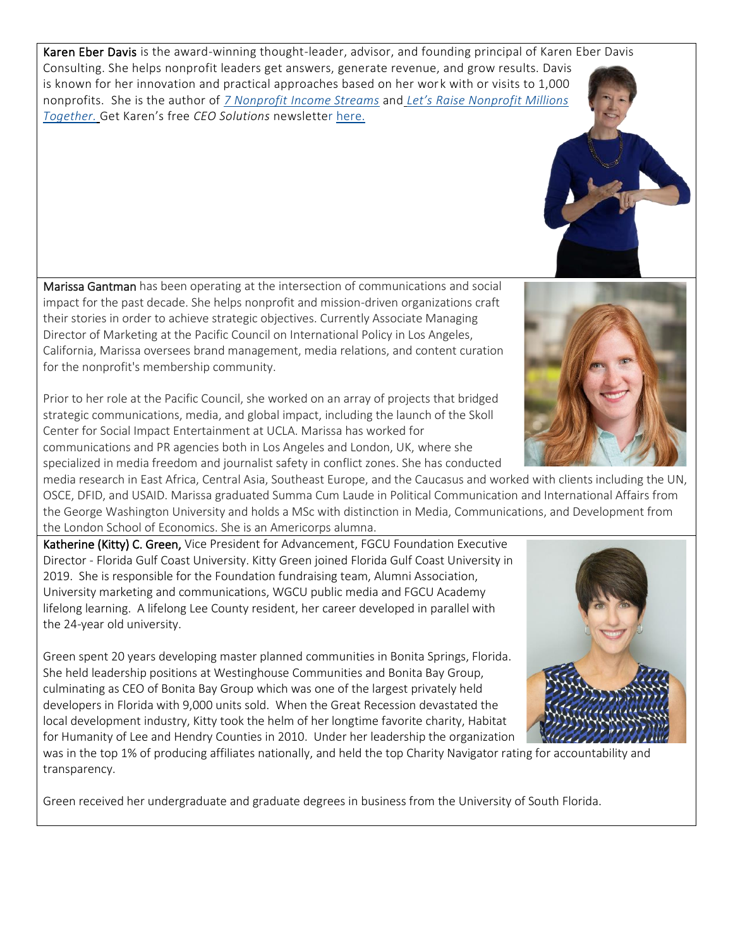Karen Eber Davis is the award-winning thought-leader, advisor, and founding principal of Karen Eber Davis Consulting. She helps nonprofit leaders get answers, generate revenue, and grow results. Davis is known for her innovation and practical approaches based on her work with or visits to 1,000 nonprofits. She is the author of *7 [Nonprofit](https://www.amazon.com/Nonprofit-Income-Streams-Floodgates-Sustainability-ebook/dp/B073Y91CFT/ref=pd_rhf_dp_p_img_2?_encoding=UTF8&psc=1&refRID=DRCJVX0Z2NBCVKNEV3Z9) Income Streams* and *Let's Raise [Nonprofit](https://www.amazon.com/Lets-Raise-Nonprofit-Millions-Together/dp/0979182158/ref=sr_1_3?keywords=Let%27s+Raise+nonprofit+millions+together&qid=1570453696&sr=8-3) Millions [Together.](https://www.amazon.com/Lets-Raise-Nonprofit-Millions-Together/dp/0979182158/ref=sr_1_3?keywords=Let%27s+Raise+nonprofit+millions+together&qid=1570453696&sr=8-3)* Get Karen's free *CEO Solutions* newsletter [here.](https://www.kedconsult.com/Solutions)

Marissa Gantman has been operating at the intersection of communications and social impact for the past decade. She helps nonprofit and mission-driven organizations craft their stories in order to achieve strategic objectives. Currently Associate Managing Director of Marketing at the Pacific Council on International Policy in Los Angeles, California, Marissa oversees brand management, media relations, and content curation for the nonprofit's membership community.

Prior to her role at the Pacific Council, she worked on an array of projects that bridged strategic communications, media, and global impact, including the launch of the Skoll Center for Social Impact Entertainment at UCLA. Marissa has worked for communications and PR agencies both in Los Angeles and London, UK, where she specialized in media freedom and journalist safety in conflict zones. She has conducted

media research in East Africa, Central Asia, Southeast Europe, and the Caucasus and worked with clients including the UN, OSCE, DFID, and USAID. Marissa graduated Summa Cum Laude in Political Communication and International Affairs from the George Washington University and holds a MSc with distinction in Media, Communications, and Development from the London School of Economics. She is an Americorps alumna.

Katherine (Kitty) C. Green, Vice President for Advancement, FGCU Foundation Executive Director - Florida Gulf Coast University. Kitty Green joined Florida Gulf Coast University in 2019. She is responsible for the Foundation fundraising team, Alumni Association, University marketing and communications, WGCU public media and FGCU Academy lifelong learning. A lifelong Lee County resident, her career developed in parallel with the 24-year old university.

Green spent 20 years developing master planned communities in Bonita Springs, Florida. She held leadership positions at Westinghouse Communities and Bonita Bay Group, culminating as CEO of Bonita Bay Group which was one of the largest privately held developers in Florida with 9,000 units sold. When the Great Recession devastated the local development industry, Kitty took the helm of her longtime favorite charity, Habitat for Humanity of Lee and Hendry Counties in 2010. Under her leadership the organization

was in the top 1% of producing affiliates nationally, and held the top Charity Navigator rating for accountability and transparency.

Green received her undergraduate and graduate degrees in business from the University of South Florida.





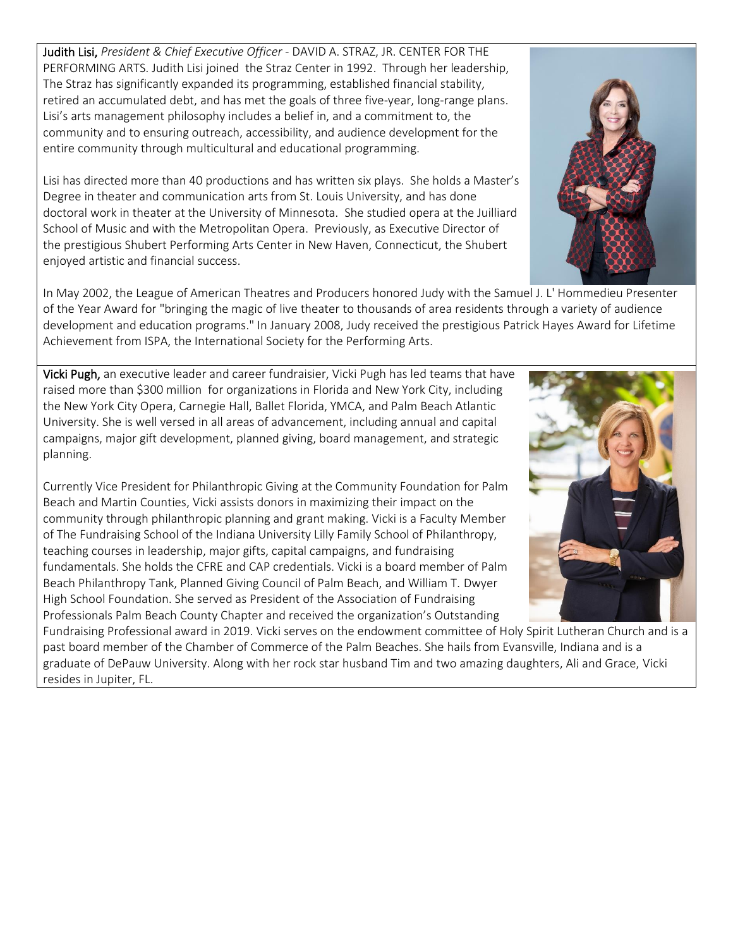Judith Lisi, *President & Chief Executive Officer -* DAVID A. STRAZ, JR. CENTER FOR THE PERFORMING ARTS. Judith Lisi joined the Straz Center in 1992. Through her leadership, The Straz has significantly expanded its programming, established financial stability, retired an accumulated debt, and has met the goals of three five-year, long-range plans. Lisi's arts management philosophy includes a belief in, and a commitment to, the community and to ensuring outreach, accessibility, and audience development for the entire community through multicultural and educational programming.

Lisi has directed more than 40 productions and has written six plays. She holds a Master's Degree in theater and communication arts from St. Louis University, and has done doctoral work in theater at the University of Minnesota. She studied opera at the Juilliard School of Music and with the Metropolitan Opera. Previously, as Executive Director of the prestigious Shubert Performing Arts Center in New Haven, Connecticut, the Shubert enjoyed artistic and financial success.

In May 2002, the League of American Theatres and Producers honored Judy with the Samuel J. L' Hommedieu Presenter of the Year Award for "bringing the magic of live theater to thousands of area residents through a variety of audience development and education programs." In January 2008, Judy received the prestigious Patrick Hayes Award for Lifetime Achievement from ISPA, the International Society for the Performing Arts.

Vicki Pugh, an executive leader and career fundraisier, Vicki Pugh has led teams that have raised more than \$300 million for organizations in Florida and New York City, including the New York City Opera, Carnegie Hall, Ballet Florida, YMCA, and Palm Beach Atlantic University. She is well versed in all areas of advancement, including annual and capital campaigns, major gift development, planned giving, board management, and strategic planning.

Currently Vice President for Philanthropic Giving at the Community Foundation for Palm Beach and Martin Counties, Vicki assists donors in maximizing their impact on the community through philanthropic planning and grant making. Vicki is a Faculty Member of The Fundraising School of the Indiana University Lilly Family School of Philanthropy, teaching courses in leadership, major gifts, capital campaigns, and fundraising fundamentals. She holds the CFRE and CAP credentials. Vicki is a board member of Palm Beach Philanthropy Tank, Planned Giving Council of Palm Beach, and William T. Dwyer High School Foundation. She served as President of the Association of Fundraising Professionals Palm Beach County Chapter and received the organization's Outstanding

Fundraising Professional award in 2019. Vicki serves on the endowment committee of Holy Spirit Lutheran Church and is a past board member of the Chamber of Commerce of the Palm Beaches. She hails from Evansville, Indiana and is a graduate of DePauw University. Along with her rock star husband Tim and two amazing daughters, Ali and Grace, Vicki resides in Jupiter, FL.



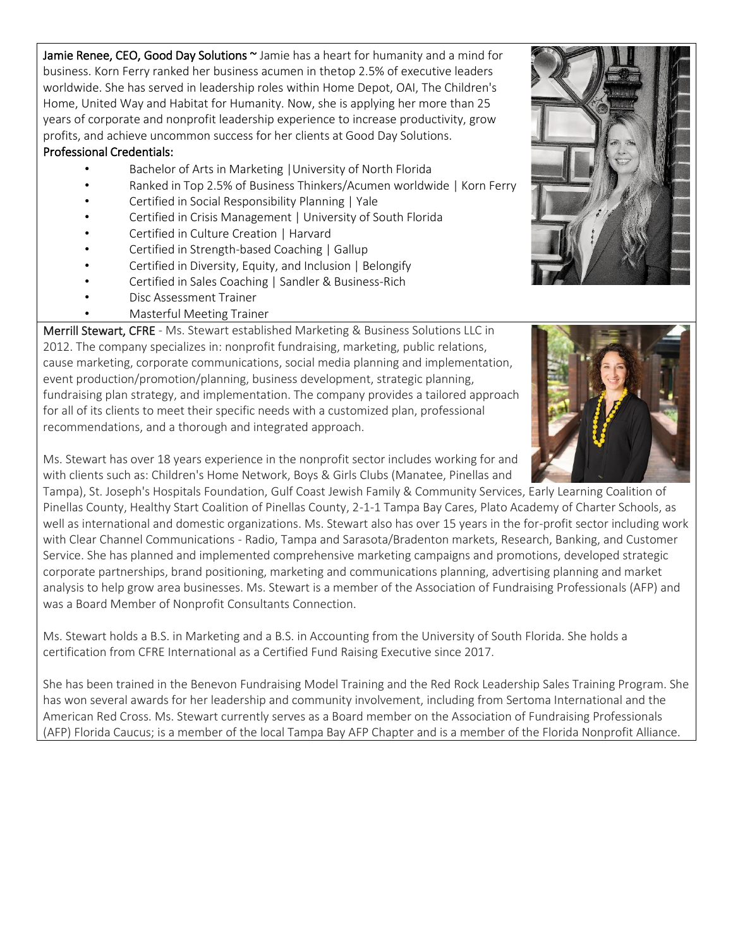Jamie Renee, CEO, Good Day Solutions ~ Jamie has a heart for humanity and a mind for business. Korn Ferry ranked her business acumen in thetop 2.5% of executive leaders worldwide. She has served in leadership roles within Home Depot, OAI, The Children's Home, United Way and Habitat for Humanity. Now, she is applying her more than 25 years of corporate and nonprofit leadership experience to increase productivity, grow profits, and achieve uncommon success for her clients at Good Day Solutions.

#### Professional Credentials:

- Bachelor of Arts in Marketing | University of North Florida
- Ranked in Top 2.5% of Business Thinkers/Acumen worldwide | Korn Ferry
- Certified in Social Responsibility Planning | Yale
- Certified in Crisis Management | University of South Florida
- Certified in Culture Creation | Harvard
- Certified in Strength-based Coaching | Gallup
- Certified in Diversity, Equity, and Inclusion | Belongify
- Certified in Sales Coaching | Sandler & Business-Rich
- Disc Assessment Trainer
	- Masterful Meeting Trainer

Merrill Stewart, CFRE - Ms. Stewart established Marketing & Business Solutions LLC in 2012. The company specializes in: nonprofit fundraising, marketing, public relations, cause marketing, corporate communications, social media planning and implementation, event production/promotion/planning, business development, strategic planning, fundraising plan strategy, and implementation. The company provides a tailored approach for all of its clients to meet their specific needs with a customized plan, professional recommendations, and a thorough and integrated approach.

Ms. Stewart has over 18 years experience in the nonprofit sector includes working for and with clients such as: Children's Home Network, Boys & Girls Clubs (Manatee, Pinellas and

Tampa), St. Joseph's Hospitals Foundation, Gulf Coast Jewish Family & Community Services, Early Learning Coalition of Pinellas County, Healthy Start Coalition of Pinellas County, 2-1-1 Tampa Bay Cares, Plato Academy of Charter Schools, as well as international and domestic organizations. Ms. Stewart also has over 15 years in the for-profit sector including work with Clear Channel Communications - Radio, Tampa and Sarasota/Bradenton markets, Research, Banking, and Customer Service. She has planned and implemented comprehensive marketing campaigns and promotions, developed strategic corporate partnerships, brand positioning, marketing and communications planning, advertising planning and market analysis to help grow area businesses. Ms. Stewart is a member of the Association of Fundraising Professionals (AFP) and was a Board Member of Nonprofit Consultants Connection.

Ms. Stewart holds a B.S. in Marketing and a B.S. in Accounting from the University of South Florida. She holds a certification from CFRE International as a Certified Fund Raising Executive since 2017.

She has been trained in the Benevon Fundraising Model Training and the Red Rock Leadership Sales Training Program. She has won several awards for her leadership and community involvement, including from Sertoma International and the American Red Cross. Ms. Stewart currently serves as a Board member on the Association of Fundraising Professionals (AFP) Florida Caucus; is a member of the local Tampa Bay AFP Chapter and is a member of the Florida Nonprofit Alliance.